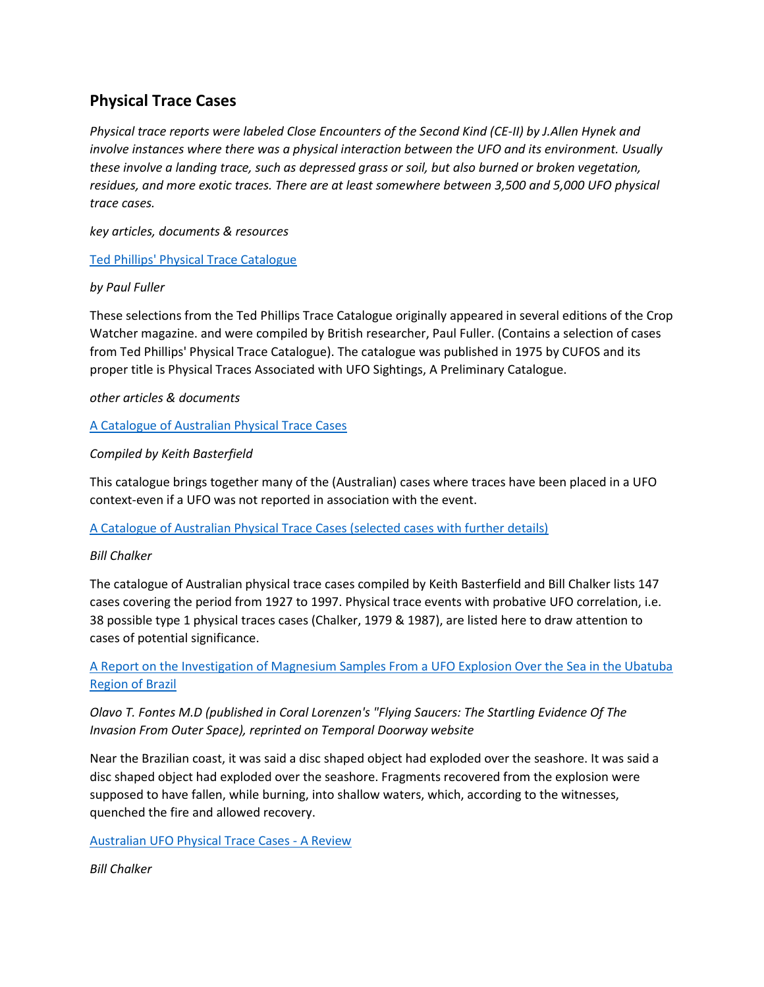# **Physical Trace Cases**

*Physical trace reports were labeled Close Encounters of the Second Kind (CE-II) by J.Allen Hynek and involve instances where there was a physical interaction between the UFO and its environment. Usually these involve a landing trace, such as depressed grass or soil, but also burned or broken vegetation, residues, and more exotic traces. There are at least somewhere between 3,500 and 5,000 UFO physical trace cases.* 

*key articles, documents & resources*

[Ted Phillips' Physical Trace Catalogue](http://www.project1947.com/phillips.htm)

# *by Paul Fuller*

These selections from the Ted Phillips Trace Catalogue originally appeared in several editions of the Crop Watcher magazine. and were compiled by British researcher, Paul Fuller. (Contains a selection of cases from Ted Phillips' Physical Trace Catalogue). The catalogue was published in 1975 by CUFOS and its proper title is Physical Traces Associated with UFO Sightings, A Preliminary Catalogue.

*other articles & documents*

[A Catalogue of Australian Physical Trace Cases](http://www.project1947.com/kbcat/kbtrace0505.htm)

# *Compiled by Keith Basterfield*

This catalogue brings together many of the (Australian) cases where traces have been placed in a UFO context-even if a UFO was not reported in association with the event.

[A Catalogue of Australian Physical Trace Cases \(selected cases with further details\)](http://www.project1947.com/bctrace2.htm)

### *Bill Chalker*

The catalogue of Australian physical trace cases compiled by Keith Basterfield and Bill Chalker lists 147 cases covering the period from 1927 to 1997. Physical trace events with probative UFO correlation, i.e. 38 possible type 1 physical traces cases (Chalker, 1979 & 1987), are listed here to draw attention to cases of potential significance.

[A Report on the Investigation of Magnesium Samples From a UFO Explosion Over the Sea in the Ubatuba](http://www.temporaldoorway.com/ufo/physicalevidence/ubtatubamagnesium/index.htm)  [Region of Brazil](http://www.temporaldoorway.com/ufo/physicalevidence/ubtatubamagnesium/index.htm)

# *Olavo T. Fontes M.D (published in Coral Lorenzen's "Flying Saucers: The Startling Evidence Of The Invasion From Outer Space), reprinted on Temporal Doorway website*

Near the Brazilian coast, it was said a disc shaped object had exploded over the seashore. It was said a disc shaped object had exploded over the seashore. Fragments recovered from the explosion were supposed to have fallen, while burning, into shallow waters, which, according to the witnesses, quenched the fire and allowed recovery.

[Australian UFO Physical Trace Cases -](http://www.project1947.com/bctrace1.htm) A Review

*Bill Chalker*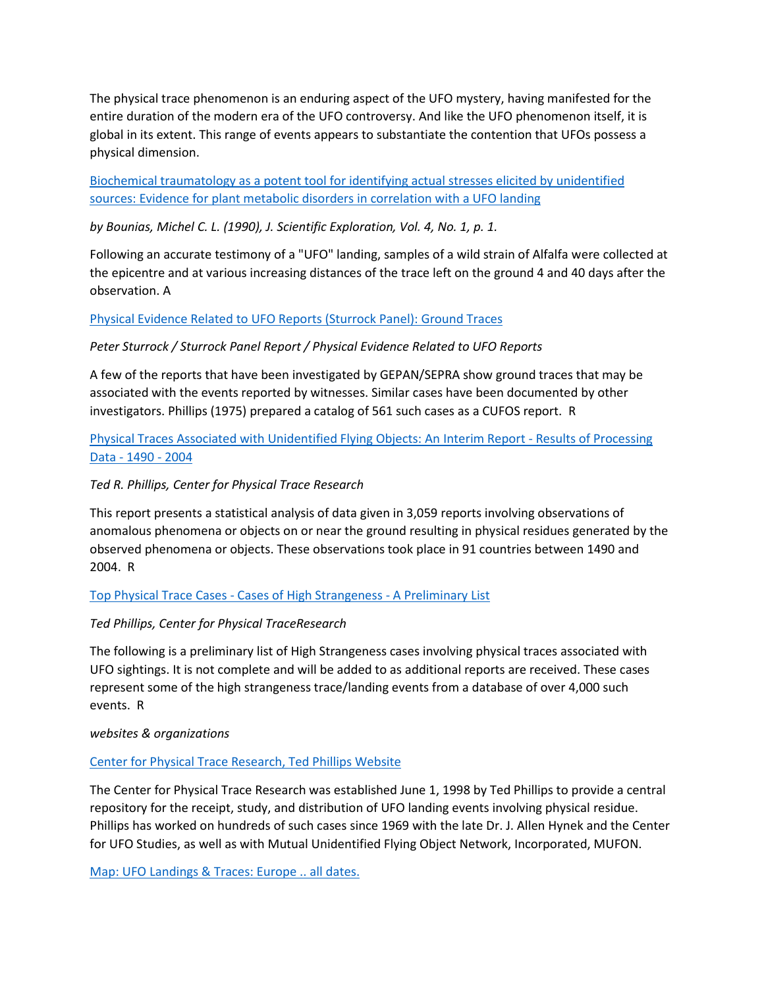The physical trace phenomenon is an enduring aspect of the UFO mystery, having manifested for the entire duration of the modern era of the UFO controversy. And like the UFO phenomenon itself, it is global in its extent. This range of events appears to substantiate the contention that UFOs possess a physical dimension.

[Biochemical traumatology as a potent tool for identifying actual stresses elicited by unidentified](http://www.scientificexploration.org/jse/articles/ufo_reports/bounias/toc.html)  [sources: Evidence for plant metabolic disorders in correlation with a UFO landing](http://www.scientificexploration.org/jse/articles/ufo_reports/bounias/toc.html)

*by Bounias, Michel C. L. (1990), J. Scientific Exploration, Vol. 4, No. 1, p. 1.*

Following an accurate testimony of a "UFO" landing, samples of a wild strain of Alfalfa were collected at the epicentre and at various increasing distances of the trace left on the ground 4 and 40 days after the observation. A

[Physical Evidence Related to UFO Reports \(Sturrock Panel\): Ground Traces](http://www.ufoevidence.org/documents/doc487.htm)

# *Peter Sturrock / Sturrock Panel Report / Physical Evidence Related to UFO Reports*

A few of the reports that have been investigated by GEPAN/SEPRA show ground traces that may be associated with the events reported by witnesses. Similar cases have been documented by other investigators. Phillips (1975) prepared a catalog of 561 such cases as a CUFOS report. R

# [Physical Traces Associated with Unidentified Flying Objects: An](http://www.ufoevidence.org/documents/doc1172.htm) Interim Report - Results of Processing Data - [1490 -](http://www.ufoevidence.org/documents/doc1172.htm) 2004

# *Ted R. Phillips, Center for Physical Trace Research*

This report presents a statistical analysis of data given in 3,059 reports involving observations of anomalous phenomena or objects on or near the ground resulting in physical residues generated by the observed phenomena or objects. These observations took place in 91 countries between 1490 and 2004. R

### Top Physical Trace Cases - [Cases of High Strangeness -](http://www.ufoevidence.org/documents/doc201.htm) A Preliminary List

# *Ted Phillips, Center for Physical TraceResearch*

The following is a preliminary list of High Strangeness cases involving physical traces associated with UFO sightings. It is not complete and will be added to as additional reports are received. These cases represent some of the high strangeness trace/landing events from a database of over 4,000 such events. R

### *websites & organizations*

### [Center for Physical Trace Research, Ted Phillips Website](http://www.angelfire.com/mo/cptr/main.html)

The Center for Physical Trace Research was established June 1, 1998 by Ted Phillips to provide a central repository for the receipt, study, and distribution of UFO landing events involving physical residue. Phillips has worked on hundreds of such cases since 1969 with the late Dr. J. Allen Hynek and the Center for UFO Studies, as well as with Mutual Unidentified Flying Object Network, Incorporated, MUFON.

[Map: UFO Landings & Traces: Europe .. all dates.](http://www.larryhatch.net/LTREUR.html)